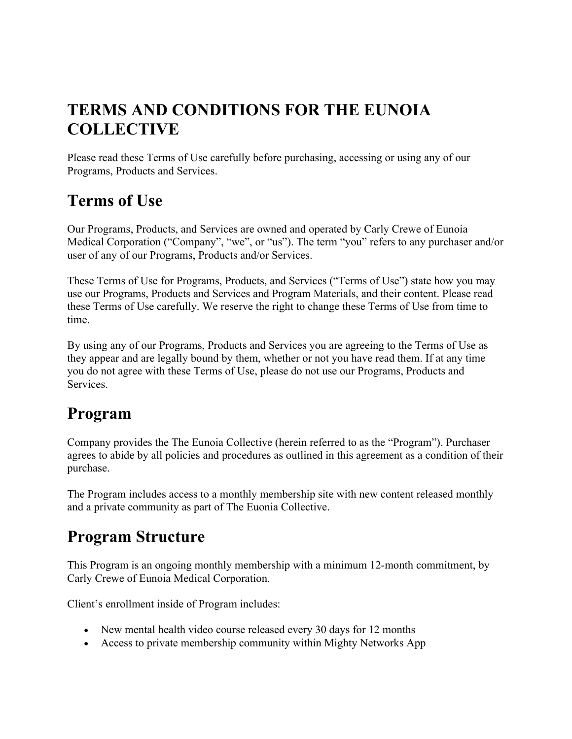## **TERMS AND CONDITIONS FOR THE EUNOIA COLLECTIVE**

Please read these Terms of Use carefully before purchasing, accessing or using any of our Programs, Products and Services.

## **Terms of Use**

Our Programs, Products, and Services are owned and operated by Carly Crewe of Eunoia Medical Corporation ("Company", "we", or "us"). The term "you" refers to any purchaser and/or user of any of our Programs, Products and/or Services.

These Terms of Use for Programs, Products, and Services ("Terms of Use") state how you may use our Programs, Products and Services and Program Materials, and their content. Please read these Terms of Use carefully. We reserve the right to change these Terms of Use from time to time.

By using any of our Programs, Products and Services you are agreeing to the Terms of Use as they appear and are legally bound by them, whether or not you have read them. If at any time you do not agree with these Terms of Use, please do not use our Programs, Products and Services.

#### **Program**

Company provides the The Eunoia Collective (herein referred to as the "Program"). Purchaser agrees to abide by all policies and procedures as outlined in this agreement as a condition of their purchase.

The Program includes access to a monthly membership site with new content released monthly and a private community as part of The Euonia Collective.

## **Program Structure**

This Program is an ongoing monthly membership with a minimum 12-month commitment, by Carly Crewe of Eunoia Medical Corporation.

Client's enrollment inside of Program includes:

- New mental health video course released every 30 days for 12 months
- Access to private membership community within Mighty Networks App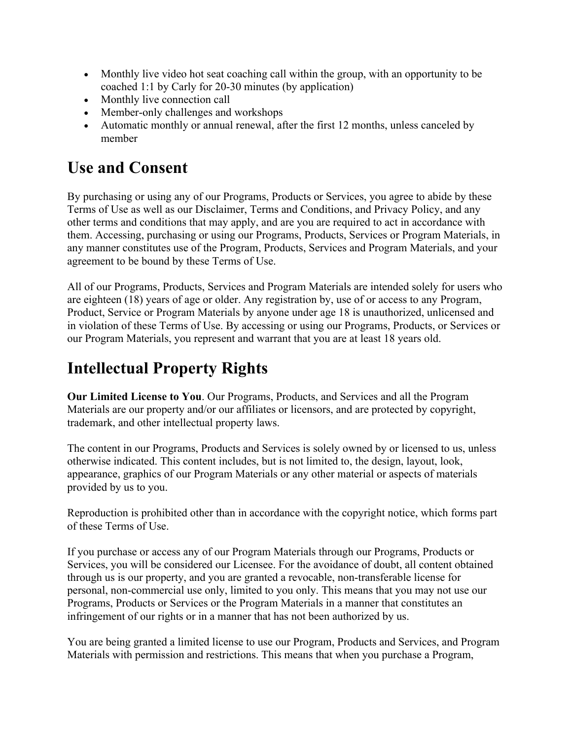- Monthly live video hot seat coaching call within the group, with an opportunity to be coached 1:1 by Carly for 20-30 minutes (by application)
- Monthly live connection call
- Member-only challenges and workshops
- Automatic monthly or annual renewal, after the first 12 months, unless canceled by member

#### **Use and Consent**

By purchasing or using any of our Programs, Products or Services, you agree to abide by these Terms of Use as well as our Disclaimer, Terms and Conditions, and Privacy Policy, and any other terms and conditions that may apply, and are you are required to act in accordance with them. Accessing, purchasing or using our Programs, Products, Services or Program Materials, in any manner constitutes use of the Program, Products, Services and Program Materials, and your agreement to be bound by these Terms of Use.

All of our Programs, Products, Services and Program Materials are intended solely for users who are eighteen (18) years of age or older. Any registration by, use of or access to any Program, Product, Service or Program Materials by anyone under age 18 is unauthorized, unlicensed and in violation of these Terms of Use. By accessing or using our Programs, Products, or Services or our Program Materials, you represent and warrant that you are at least 18 years old.

## **Intellectual Property Rights**

**Our Limited License to You**. Our Programs, Products, and Services and all the Program Materials are our property and/or our affiliates or licensors, and are protected by copyright, trademark, and other intellectual property laws.

The content in our Programs, Products and Services is solely owned by or licensed to us, unless otherwise indicated. This content includes, but is not limited to, the design, layout, look, appearance, graphics of our Program Materials or any other material or aspects of materials provided by us to you.

Reproduction is prohibited other than in accordance with the copyright notice, which forms part of these Terms of Use.

If you purchase or access any of our Program Materials through our Programs, Products or Services, you will be considered our Licensee. For the avoidance of doubt, all content obtained through us is our property, and you are granted a revocable, non-transferable license for personal, non-commercial use only, limited to you only. This means that you may not use our Programs, Products or Services or the Program Materials in a manner that constitutes an infringement of our rights or in a manner that has not been authorized by us.

You are being granted a limited license to use our Program, Products and Services, and Program Materials with permission and restrictions. This means that when you purchase a Program,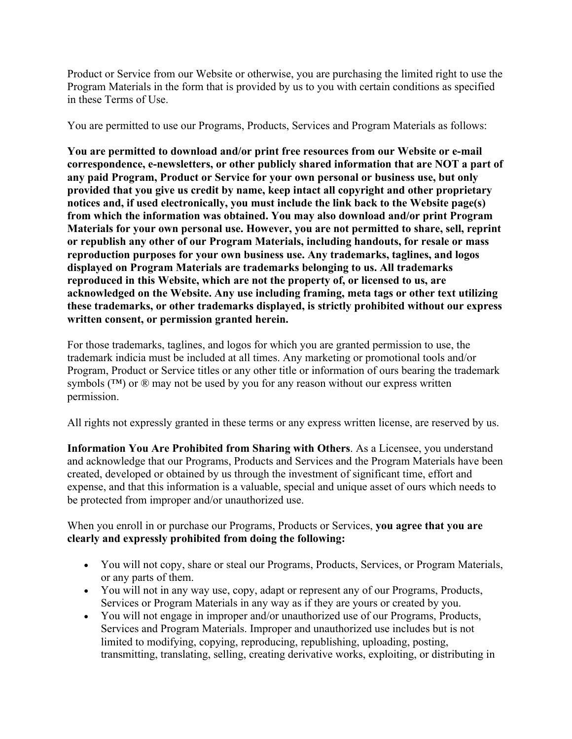Product or Service from our Website or otherwise, you are purchasing the limited right to use the Program Materials in the form that is provided by us to you with certain conditions as specified in these Terms of Use.

You are permitted to use our Programs, Products, Services and Program Materials as follows:

**You are permitted to download and/or print free resources from our Website or e-mail correspondence, e-newsletters, or other publicly shared information that are NOT a part of any paid Program, Product or Service for your own personal or business use, but only provided that you give us credit by name, keep intact all copyright and other proprietary notices and, if used electronically, you must include the link back to the Website page(s) from which the information was obtained. You may also download and/or print Program Materials for your own personal use. However, you are not permitted to share, sell, reprint or republish any other of our Program Materials, including handouts, for resale or mass reproduction purposes for your own business use. Any trademarks, taglines, and logos displayed on Program Materials are trademarks belonging to us. All trademarks reproduced in this Website, which are not the property of, or licensed to us, are acknowledged on the Website. Any use including framing, meta tags or other text utilizing these trademarks, or other trademarks displayed, is strictly prohibited without our express written consent, or permission granted herein.**

For those trademarks, taglines, and logos for which you are granted permission to use, the trademark indicia must be included at all times. Any marketing or promotional tools and/or Program, Product or Service titles or any other title or information of ours bearing the trademark symbols (™) or ® may not be used by you for any reason without our express written permission.

All rights not expressly granted in these terms or any express written license, are reserved by us.

**Information You Are Prohibited from Sharing with Others**. As a Licensee, you understand and acknowledge that our Programs, Products and Services and the Program Materials have been created, developed or obtained by us through the investment of significant time, effort and expense, and that this information is a valuable, special and unique asset of ours which needs to be protected from improper and/or unauthorized use.

When you enroll in or purchase our Programs, Products or Services, **you agree that you are clearly and expressly prohibited from doing the following:**

- You will not copy, share or steal our Programs, Products, Services, or Program Materials, or any parts of them.
- You will not in any way use, copy, adapt or represent any of our Programs, Products, Services or Program Materials in any way as if they are yours or created by you.
- You will not engage in improper and/or unauthorized use of our Programs, Products, Services and Program Materials. Improper and unauthorized use includes but is not limited to modifying, copying, reproducing, republishing, uploading, posting, transmitting, translating, selling, creating derivative works, exploiting, or distributing in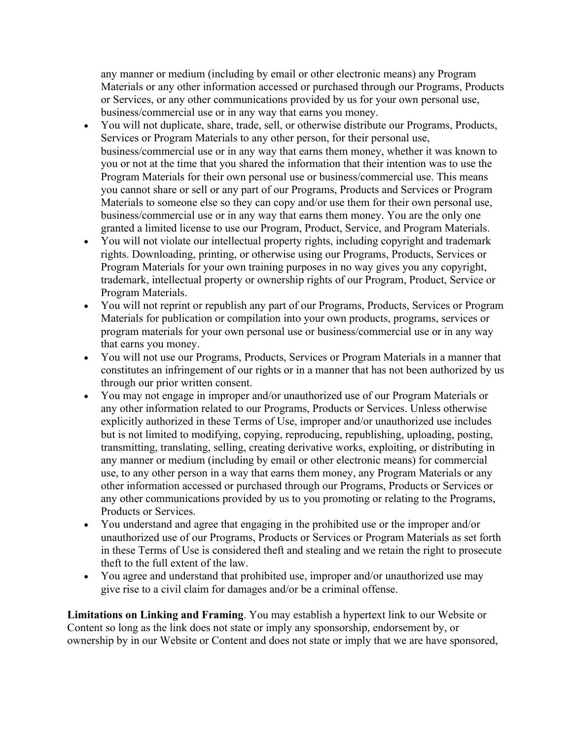any manner or medium (including by email or other electronic means) any Program Materials or any other information accessed or purchased through our Programs, Products or Services, or any other communications provided by us for your own personal use, business/commercial use or in any way that earns you money.

- You will not duplicate, share, trade, sell, or otherwise distribute our Programs, Products, Services or Program Materials to any other person, for their personal use, business/commercial use or in any way that earns them money, whether it was known to you or not at the time that you shared the information that their intention was to use the Program Materials for their own personal use or business/commercial use. This means you cannot share or sell or any part of our Programs, Products and Services or Program Materials to someone else so they can copy and/or use them for their own personal use, business/commercial use or in any way that earns them money. You are the only one granted a limited license to use our Program, Product, Service, and Program Materials.
- You will not violate our intellectual property rights, including copyright and trademark rights. Downloading, printing, or otherwise using our Programs, Products, Services or Program Materials for your own training purposes in no way gives you any copyright, trademark, intellectual property or ownership rights of our Program, Product, Service or Program Materials.
- You will not reprint or republish any part of our Programs, Products, Services or Program Materials for publication or compilation into your own products, programs, services or program materials for your own personal use or business/commercial use or in any way that earns you money.
- You will not use our Programs, Products, Services or Program Materials in a manner that constitutes an infringement of our rights or in a manner that has not been authorized by us through our prior written consent.
- You may not engage in improper and/or unauthorized use of our Program Materials or any other information related to our Programs, Products or Services. Unless otherwise explicitly authorized in these Terms of Use, improper and/or unauthorized use includes but is not limited to modifying, copying, reproducing, republishing, uploading, posting, transmitting, translating, selling, creating derivative works, exploiting, or distributing in any manner or medium (including by email or other electronic means) for commercial use, to any other person in a way that earns them money, any Program Materials or any other information accessed or purchased through our Programs, Products or Services or any other communications provided by us to you promoting or relating to the Programs, Products or Services.
- You understand and agree that engaging in the prohibited use or the improper and/or unauthorized use of our Programs, Products or Services or Program Materials as set forth in these Terms of Use is considered theft and stealing and we retain the right to prosecute theft to the full extent of the law.
- You agree and understand that prohibited use, improper and/or unauthorized use may give rise to a civil claim for damages and/or be a criminal offense.

**Limitations on Linking and Framing**. You may establish a hypertext link to our Website or Content so long as the link does not state or imply any sponsorship, endorsement by, or ownership by in our Website or Content and does not state or imply that we are have sponsored,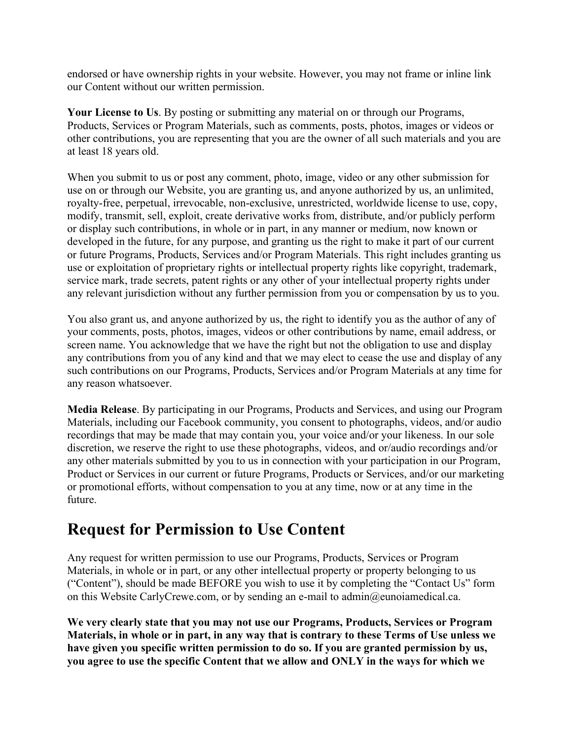endorsed or have ownership rights in your website. However, you may not frame or inline link our Content without our written permission.

**Your License to Us**. By posting or submitting any material on or through our Programs, Products, Services or Program Materials, such as comments, posts, photos, images or videos or other contributions, you are representing that you are the owner of all such materials and you are at least 18 years old.

When you submit to us or post any comment, photo, image, video or any other submission for use on or through our Website, you are granting us, and anyone authorized by us, an unlimited, royalty-free, perpetual, irrevocable, non-exclusive, unrestricted, worldwide license to use, copy, modify, transmit, sell, exploit, create derivative works from, distribute, and/or publicly perform or display such contributions, in whole or in part, in any manner or medium, now known or developed in the future, for any purpose, and granting us the right to make it part of our current or future Programs, Products, Services and/or Program Materials. This right includes granting us use or exploitation of proprietary rights or intellectual property rights like copyright, trademark, service mark, trade secrets, patent rights or any other of your intellectual property rights under any relevant jurisdiction without any further permission from you or compensation by us to you.

You also grant us, and anyone authorized by us, the right to identify you as the author of any of your comments, posts, photos, images, videos or other contributions by name, email address, or screen name. You acknowledge that we have the right but not the obligation to use and display any contributions from you of any kind and that we may elect to cease the use and display of any such contributions on our Programs, Products, Services and/or Program Materials at any time for any reason whatsoever.

**Media Release**. By participating in our Programs, Products and Services, and using our Program Materials, including our Facebook community, you consent to photographs, videos, and/or audio recordings that may be made that may contain you, your voice and/or your likeness. In our sole discretion, we reserve the right to use these photographs, videos, and or/audio recordings and/or any other materials submitted by you to us in connection with your participation in our Program, Product or Services in our current or future Programs, Products or Services, and/or our marketing or promotional efforts, without compensation to you at any time, now or at any time in the future.

#### **Request for Permission to Use Content**

Any request for written permission to use our Programs, Products, Services or Program Materials, in whole or in part, or any other intellectual property or property belonging to us ("Content"), should be made BEFORE you wish to use it by completing the "Contact Us" form on this Website CarlyCrewe.com, or by sending an e-mail to admin@eunoiamedical.ca.

**We very clearly state that you may not use our Programs, Products, Services or Program Materials, in whole or in part, in any way that is contrary to these Terms of Use unless we have given you specific written permission to do so. If you are granted permission by us, you agree to use the specific Content that we allow and ONLY in the ways for which we**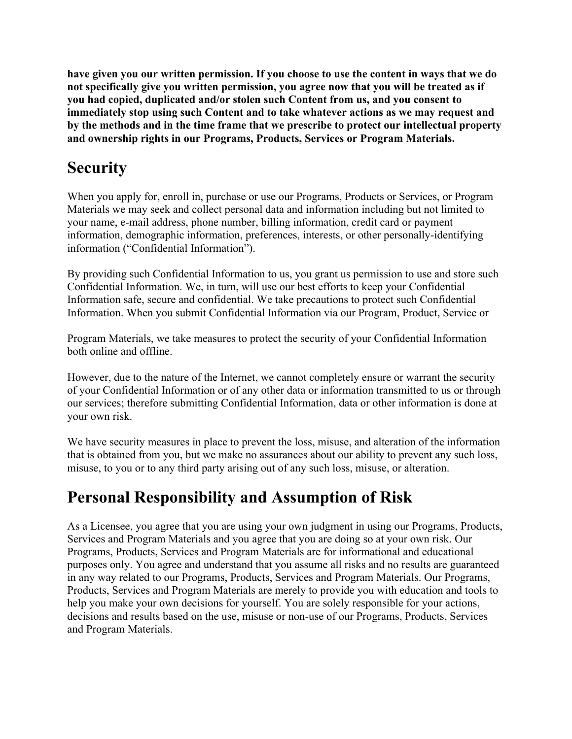**have given you our written permission. If you choose to use the content in ways that we do not specifically give you written permission, you agree now that you will be treated as if you had copied, duplicated and/or stolen such Content from us, and you consent to immediately stop using such Content and to take whatever actions as we may request and by the methods and in the time frame that we prescribe to protect our intellectual property and ownership rights in our Programs, Products, Services or Program Materials.**

### **Security**

When you apply for, enroll in, purchase or use our Programs, Products or Services, or Program Materials we may seek and collect personal data and information including but not limited to your name, e-mail address, phone number, billing information, credit card or payment information, demographic information, preferences, interests, or other personally-identifying information ("Confidential Information").

By providing such Confidential Information to us, you grant us permission to use and store such Confidential Information. We, in turn, will use our best efforts to keep your Confidential Information safe, secure and confidential. We take precautions to protect such Confidential Information. When you submit Confidential Information via our Program, Product, Service or

Program Materials, we take measures to protect the security of your Confidential Information both online and offline.

However, due to the nature of the Internet, we cannot completely ensure or warrant the security of your Confidential Information or of any other data or information transmitted to us or through our services; therefore submitting Confidential Information, data or other information is done at your own risk.

We have security measures in place to prevent the loss, misuse, and alteration of the information that is obtained from you, but we make no assurances about our ability to prevent any such loss, misuse, to you or to any third party arising out of any such loss, misuse, or alteration.

### **Personal Responsibility and Assumption of Risk**

As a Licensee, you agree that you are using your own judgment in using our Programs, Products, Services and Program Materials and you agree that you are doing so at your own risk. Our Programs, Products, Services and Program Materials are for informational and educational purposes only. You agree and understand that you assume all risks and no results are guaranteed in any way related to our Programs, Products, Services and Program Materials. Our Programs, Products, Services and Program Materials are merely to provide you with education and tools to help you make your own decisions for yourself. You are solely responsible for your actions, decisions and results based on the use, misuse or non-use of our Programs, Products, Services and Program Materials.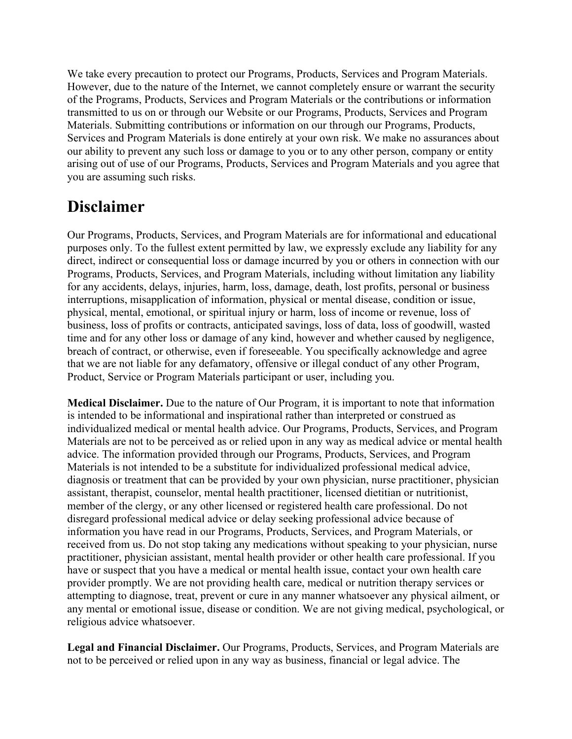We take every precaution to protect our Programs, Products, Services and Program Materials. However, due to the nature of the Internet, we cannot completely ensure or warrant the security of the Programs, Products, Services and Program Materials or the contributions or information transmitted to us on or through our Website or our Programs, Products, Services and Program Materials. Submitting contributions or information on our through our Programs, Products, Services and Program Materials is done entirely at your own risk. We make no assurances about our ability to prevent any such loss or damage to you or to any other person, company or entity arising out of use of our Programs, Products, Services and Program Materials and you agree that you are assuming such risks.

#### **Disclaimer**

Our Programs, Products, Services, and Program Materials are for informational and educational purposes only. To the fullest extent permitted by law, we expressly exclude any liability for any direct, indirect or consequential loss or damage incurred by you or others in connection with our Programs, Products, Services, and Program Materials, including without limitation any liability for any accidents, delays, injuries, harm, loss, damage, death, lost profits, personal or business interruptions, misapplication of information, physical or mental disease, condition or issue, physical, mental, emotional, or spiritual injury or harm, loss of income or revenue, loss of business, loss of profits or contracts, anticipated savings, loss of data, loss of goodwill, wasted time and for any other loss or damage of any kind, however and whether caused by negligence, breach of contract, or otherwise, even if foreseeable. You specifically acknowledge and agree that we are not liable for any defamatory, offensive or illegal conduct of any other Program, Product, Service or Program Materials participant or user, including you.

**Medical Disclaimer.** Due to the nature of Our Program, it is important to note that information is intended to be informational and inspirational rather than interpreted or construed as individualized medical or mental health advice. Our Programs, Products, Services, and Program Materials are not to be perceived as or relied upon in any way as medical advice or mental health advice. The information provided through our Programs, Products, Services, and Program Materials is not intended to be a substitute for individualized professional medical advice, diagnosis or treatment that can be provided by your own physician, nurse practitioner, physician assistant, therapist, counselor, mental health practitioner, licensed dietitian or nutritionist, member of the clergy, or any other licensed or registered health care professional. Do not disregard professional medical advice or delay seeking professional advice because of information you have read in our Programs, Products, Services, and Program Materials, or received from us. Do not stop taking any medications without speaking to your physician, nurse practitioner, physician assistant, mental health provider or other health care professional. If you have or suspect that you have a medical or mental health issue, contact your own health care provider promptly. We are not providing health care, medical or nutrition therapy services or attempting to diagnose, treat, prevent or cure in any manner whatsoever any physical ailment, or any mental or emotional issue, disease or condition. We are not giving medical, psychological, or religious advice whatsoever.

**Legal and Financial Disclaimer.** Our Programs, Products, Services, and Program Materials are not to be perceived or relied upon in any way as business, financial or legal advice. The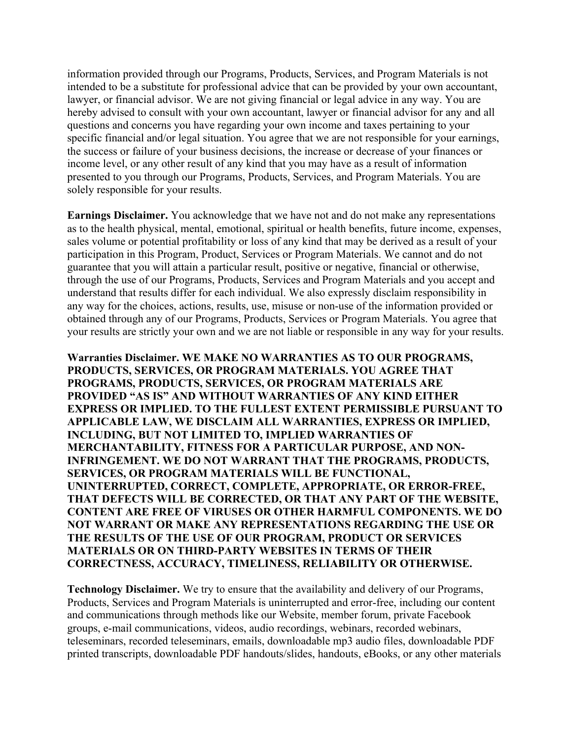information provided through our Programs, Products, Services, and Program Materials is not intended to be a substitute for professional advice that can be provided by your own accountant, lawyer, or financial advisor. We are not giving financial or legal advice in any way. You are hereby advised to consult with your own accountant, lawyer or financial advisor for any and all questions and concerns you have regarding your own income and taxes pertaining to your specific financial and/or legal situation. You agree that we are not responsible for your earnings, the success or failure of your business decisions, the increase or decrease of your finances or income level, or any other result of any kind that you may have as a result of information presented to you through our Programs, Products, Services, and Program Materials. You are solely responsible for your results.

**Earnings Disclaimer.** You acknowledge that we have not and do not make any representations as to the health physical, mental, emotional, spiritual or health benefits, future income, expenses, sales volume or potential profitability or loss of any kind that may be derived as a result of your participation in this Program, Product, Services or Program Materials. We cannot and do not guarantee that you will attain a particular result, positive or negative, financial or otherwise, through the use of our Programs, Products, Services and Program Materials and you accept and understand that results differ for each individual. We also expressly disclaim responsibility in any way for the choices, actions, results, use, misuse or non-use of the information provided or obtained through any of our Programs, Products, Services or Program Materials. You agree that your results are strictly your own and we are not liable or responsible in any way for your results.

**Warranties Disclaimer. WE MAKE NO WARRANTIES AS TO OUR PROGRAMS, PRODUCTS, SERVICES, OR PROGRAM MATERIALS. YOU AGREE THAT PROGRAMS, PRODUCTS, SERVICES, OR PROGRAM MATERIALS ARE PROVIDED "AS IS" AND WITHOUT WARRANTIES OF ANY KIND EITHER EXPRESS OR IMPLIED. TO THE FULLEST EXTENT PERMISSIBLE PURSUANT TO APPLICABLE LAW, WE DISCLAIM ALL WARRANTIES, EXPRESS OR IMPLIED, INCLUDING, BUT NOT LIMITED TO, IMPLIED WARRANTIES OF MERCHANTABILITY, FITNESS FOR A PARTICULAR PURPOSE, AND NON-INFRINGEMENT. WE DO NOT WARRANT THAT THE PROGRAMS, PRODUCTS, SERVICES, OR PROGRAM MATERIALS WILL BE FUNCTIONAL, UNINTERRUPTED, CORRECT, COMPLETE, APPROPRIATE, OR ERROR-FREE, THAT DEFECTS WILL BE CORRECTED, OR THAT ANY PART OF THE WEBSITE, CONTENT ARE FREE OF VIRUSES OR OTHER HARMFUL COMPONENTS. WE DO NOT WARRANT OR MAKE ANY REPRESENTATIONS REGARDING THE USE OR THE RESULTS OF THE USE OF OUR PROGRAM, PRODUCT OR SERVICES MATERIALS OR ON THIRD-PARTY WEBSITES IN TERMS OF THEIR CORRECTNESS, ACCURACY, TIMELINESS, RELIABILITY OR OTHERWISE.**

**Technology Disclaimer.** We try to ensure that the availability and delivery of our Programs, Products, Services and Program Materials is uninterrupted and error-free, including our content and communications through methods like our Website, member forum, private Facebook groups, e-mail communications, videos, audio recordings, webinars, recorded webinars, teleseminars, recorded teleseminars, emails, downloadable mp3 audio files, downloadable PDF printed transcripts, downloadable PDF handouts/slides, handouts, eBooks, or any other materials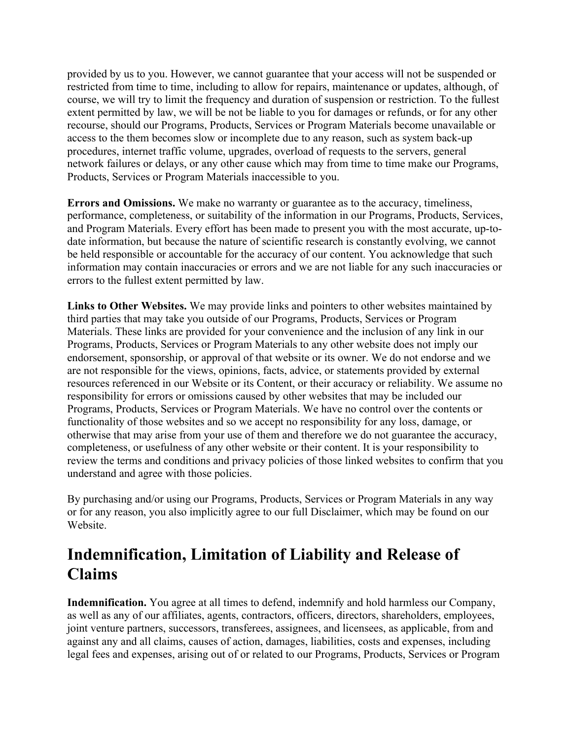provided by us to you. However, we cannot guarantee that your access will not be suspended or restricted from time to time, including to allow for repairs, maintenance or updates, although, of course, we will try to limit the frequency and duration of suspension or restriction. To the fullest extent permitted by law, we will be not be liable to you for damages or refunds, or for any other recourse, should our Programs, Products, Services or Program Materials become unavailable or access to the them becomes slow or incomplete due to any reason, such as system back-up procedures, internet traffic volume, upgrades, overload of requests to the servers, general network failures or delays, or any other cause which may from time to time make our Programs, Products, Services or Program Materials inaccessible to you.

**Errors and Omissions.** We make no warranty or guarantee as to the accuracy, timeliness, performance, completeness, or suitability of the information in our Programs, Products, Services, and Program Materials. Every effort has been made to present you with the most accurate, up-todate information, but because the nature of scientific research is constantly evolving, we cannot be held responsible or accountable for the accuracy of our content. You acknowledge that such information may contain inaccuracies or errors and we are not liable for any such inaccuracies or errors to the fullest extent permitted by law.

**Links to Other Websites.** We may provide links and pointers to other websites maintained by third parties that may take you outside of our Programs, Products, Services or Program Materials. These links are provided for your convenience and the inclusion of any link in our Programs, Products, Services or Program Materials to any other website does not imply our endorsement, sponsorship, or approval of that website or its owner. We do not endorse and we are not responsible for the views, opinions, facts, advice, or statements provided by external resources referenced in our Website or its Content, or their accuracy or reliability. We assume no responsibility for errors or omissions caused by other websites that may be included our Programs, Products, Services or Program Materials. We have no control over the contents or functionality of those websites and so we accept no responsibility for any loss, damage, or otherwise that may arise from your use of them and therefore we do not guarantee the accuracy, completeness, or usefulness of any other website or their content. It is your responsibility to review the terms and conditions and privacy policies of those linked websites to confirm that you understand and agree with those policies.

By purchasing and/or using our Programs, Products, Services or Program Materials in any way or for any reason, you also implicitly agree to our full Disclaimer, which may be found on our Website.

### **Indemnification, Limitation of Liability and Release of Claims**

**Indemnification.** You agree at all times to defend, indemnify and hold harmless our Company, as well as any of our affiliates, agents, contractors, officers, directors, shareholders, employees, joint venture partners, successors, transferees, assignees, and licensees, as applicable, from and against any and all claims, causes of action, damages, liabilities, costs and expenses, including legal fees and expenses, arising out of or related to our Programs, Products, Services or Program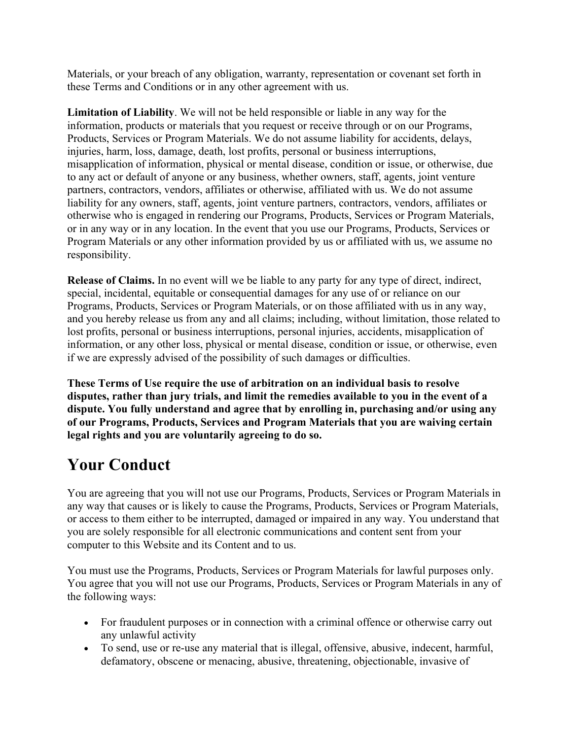Materials, or your breach of any obligation, warranty, representation or covenant set forth in these Terms and Conditions or in any other agreement with us.

**Limitation of Liability**. We will not be held responsible or liable in any way for the information, products or materials that you request or receive through or on our Programs, Products, Services or Program Materials. We do not assume liability for accidents, delays, injuries, harm, loss, damage, death, lost profits, personal or business interruptions, misapplication of information, physical or mental disease, condition or issue, or otherwise, due to any act or default of anyone or any business, whether owners, staff, agents, joint venture partners, contractors, vendors, affiliates or otherwise, affiliated with us. We do not assume liability for any owners, staff, agents, joint venture partners, contractors, vendors, affiliates or otherwise who is engaged in rendering our Programs, Products, Services or Program Materials, or in any way or in any location. In the event that you use our Programs, Products, Services or Program Materials or any other information provided by us or affiliated with us, we assume no responsibility.

**Release of Claims.** In no event will we be liable to any party for any type of direct, indirect, special, incidental, equitable or consequential damages for any use of or reliance on our Programs, Products, Services or Program Materials, or on those affiliated with us in any way, and you hereby release us from any and all claims; including, without limitation, those related to lost profits, personal or business interruptions, personal injuries, accidents, misapplication of information, or any other loss, physical or mental disease, condition or issue, or otherwise, even if we are expressly advised of the possibility of such damages or difficulties.

**These Terms of Use require the use of arbitration on an individual basis to resolve disputes, rather than jury trials, and limit the remedies available to you in the event of a dispute. You fully understand and agree that by enrolling in, purchasing and/or using any of our Programs, Products, Services and Program Materials that you are waiving certain legal rights and you are voluntarily agreeing to do so.**

## **Your Conduct**

You are agreeing that you will not use our Programs, Products, Services or Program Materials in any way that causes or is likely to cause the Programs, Products, Services or Program Materials, or access to them either to be interrupted, damaged or impaired in any way. You understand that you are solely responsible for all electronic communications and content sent from your computer to this Website and its Content and to us.

You must use the Programs, Products, Services or Program Materials for lawful purposes only. You agree that you will not use our Programs, Products, Services or Program Materials in any of the following ways:

- For fraudulent purposes or in connection with a criminal offence or otherwise carry out any unlawful activity
- To send, use or re-use any material that is illegal, offensive, abusive, indecent, harmful, defamatory, obscene or menacing, abusive, threatening, objectionable, invasive of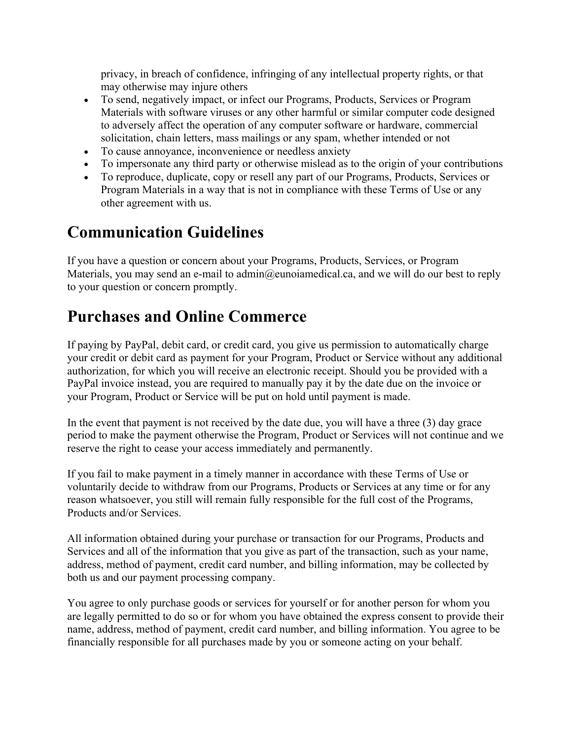privacy, in breach of confidence, infringing of any intellectual property rights, or that may otherwise may injure others

- To send, negatively impact, or infect our Programs, Products, Services or Program Materials with software viruses or any other harmful or similar computer code designed to adversely affect the operation of any computer software or hardware, commercial solicitation, chain letters, mass mailings or any spam, whether intended or not
- To cause annoyance, inconvenience or needless anxiety
- To impersonate any third party or otherwise mislead as to the origin of your contributions
- To reproduce, duplicate, copy or resell any part of our Programs, Products, Services or Program Materials in a way that is not in compliance with these Terms of Use or any other agreement with us.

### **Communication Guidelines**

If you have a question or concern about your Programs, Products, Services, or Program Materials, you may send an e-mail to admin@eunoiamedical.ca, and we will do our best to reply to your question or concern promptly.

#### **Purchases and Online Commerce**

If paying by PayPal, debit card, or credit card, you give us permission to automatically charge your credit or debit card as payment for your Program, Product or Service without any additional authorization, for which you will receive an electronic receipt. Should you be provided with a PayPal invoice instead, you are required to manually pay it by the date due on the invoice or your Program, Product or Service will be put on hold until payment is made.

In the event that payment is not received by the date due, you will have a three (3) day grace period to make the payment otherwise the Program, Product or Services will not continue and we reserve the right to cease your access immediately and permanently.

If you fail to make payment in a timely manner in accordance with these Terms of Use or voluntarily decide to withdraw from our Programs, Products or Services at any time or for any reason whatsoever, you still will remain fully responsible for the full cost of the Programs, Products and/or Services.

All information obtained during your purchase or transaction for our Programs, Products and Services and all of the information that you give as part of the transaction, such as your name, address, method of payment, credit card number, and billing information, may be collected by both us and our payment processing company.

You agree to only purchase goods or services for yourself or for another person for whom you are legally permitted to do so or for whom you have obtained the express consent to provide their name, address, method of payment, credit card number, and billing information. You agree to be financially responsible for all purchases made by you or someone acting on your behalf.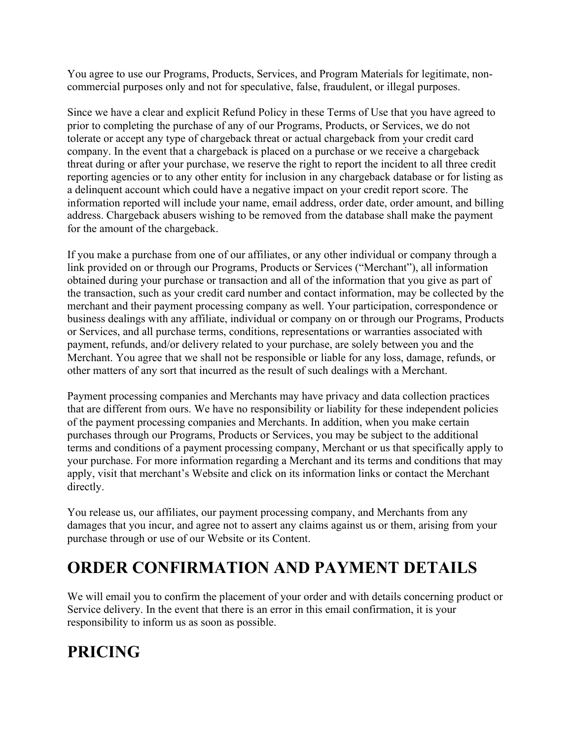You agree to use our Programs, Products, Services, and Program Materials for legitimate, noncommercial purposes only and not for speculative, false, fraudulent, or illegal purposes.

Since we have a clear and explicit Refund Policy in these Terms of Use that you have agreed to prior to completing the purchase of any of our Programs, Products, or Services, we do not tolerate or accept any type of chargeback threat or actual chargeback from your credit card company. In the event that a chargeback is placed on a purchase or we receive a chargeback threat during or after your purchase, we reserve the right to report the incident to all three credit reporting agencies or to any other entity for inclusion in any chargeback database or for listing as a delinquent account which could have a negative impact on your credit report score. The information reported will include your name, email address, order date, order amount, and billing address. Chargeback abusers wishing to be removed from the database shall make the payment for the amount of the chargeback.

If you make a purchase from one of our affiliates, or any other individual or company through a link provided on or through our Programs, Products or Services ("Merchant"), all information obtained during your purchase or transaction and all of the information that you give as part of the transaction, such as your credit card number and contact information, may be collected by the merchant and their payment processing company as well. Your participation, correspondence or business dealings with any affiliate, individual or company on or through our Programs, Products or Services, and all purchase terms, conditions, representations or warranties associated with payment, refunds, and/or delivery related to your purchase, are solely between you and the Merchant. You agree that we shall not be responsible or liable for any loss, damage, refunds, or other matters of any sort that incurred as the result of such dealings with a Merchant.

Payment processing companies and Merchants may have privacy and data collection practices that are different from ours. We have no responsibility or liability for these independent policies of the payment processing companies and Merchants. In addition, when you make certain purchases through our Programs, Products or Services, you may be subject to the additional terms and conditions of a payment processing company, Merchant or us that specifically apply to your purchase. For more information regarding a Merchant and its terms and conditions that may apply, visit that merchant's Website and click on its information links or contact the Merchant directly.

You release us, our affiliates, our payment processing company, and Merchants from any damages that you incur, and agree not to assert any claims against us or them, arising from your purchase through or use of our Website or its Content.

## **ORDER CONFIRMATION AND PAYMENT DETAILS**

We will email you to confirm the placement of your order and with details concerning product or Service delivery. In the event that there is an error in this email confirmation, it is your responsibility to inform us as soon as possible.

# **PRICING**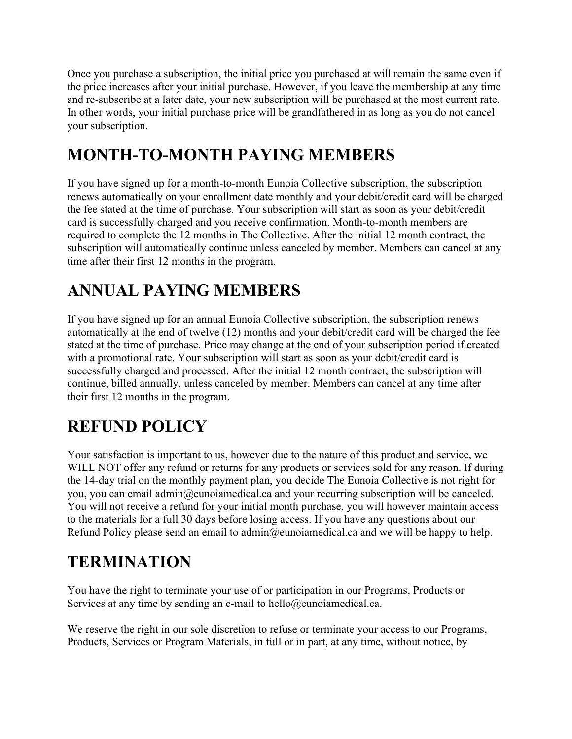Once you purchase a subscription, the initial price you purchased at will remain the same even if the price increases after your initial purchase. However, if you leave the membership at any time and re-subscribe at a later date, your new subscription will be purchased at the most current rate. In other words, your initial purchase price will be grandfathered in as long as you do not cancel your subscription.

## **MONTH-TO-MONTH PAYING MEMBERS**

If you have signed up for a month-to-month Eunoia Collective subscription, the subscription renews automatically on your enrollment date monthly and your debit/credit card will be charged the fee stated at the time of purchase. Your subscription will start as soon as your debit/credit card is successfully charged and you receive confirmation. Month-to-month members are required to complete the 12 months in The Collective. After the initial 12 month contract, the subscription will automatically continue unless canceled by member. Members can cancel at any time after their first 12 months in the program.

# **ANNUAL PAYING MEMBERS**

If you have signed up for an annual Eunoia Collective subscription, the subscription renews automatically at the end of twelve (12) months and your debit/credit card will be charged the fee stated at the time of purchase. Price may change at the end of your subscription period if created with a promotional rate. Your subscription will start as soon as your debit/credit card is successfully charged and processed. After the initial 12 month contract, the subscription will continue, billed annually, unless canceled by member. Members can cancel at any time after their first 12 months in the program.

# **REFUND POLICY**

Your satisfaction is important to us, however due to the nature of this product and service, we WILL NOT offer any refund or returns for any products or services sold for any reason. If during the 14-day trial on the monthly payment plan, you decide The Eunoia Collective is not right for you, you can email admin@eunoiamedical.ca and your recurring subscription will be canceled. You will not receive a refund for your initial month purchase, you will however maintain access to the materials for a full 30 days before losing access. If you have any questions about our Refund Policy please send an email to admin@eunoiamedical.ca and we will be happy to help.

# **TERMINATION**

You have the right to terminate your use of or participation in our Programs, Products or Services at any time by sending an e-mail to hello@eunoiamedical.ca.

We reserve the right in our sole discretion to refuse or terminate your access to our Programs, Products, Services or Program Materials, in full or in part, at any time, without notice, by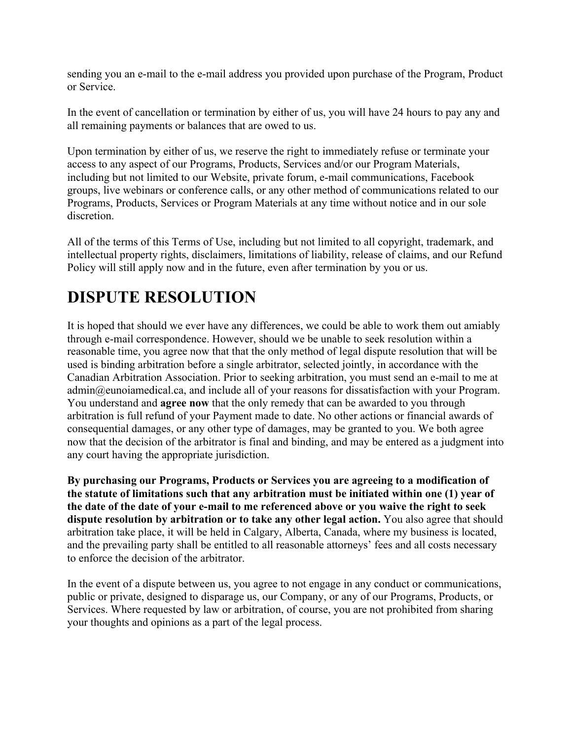sending you an e-mail to the e-mail address you provided upon purchase of the Program, Product or Service.

In the event of cancellation or termination by either of us, you will have 24 hours to pay any and all remaining payments or balances that are owed to us.

Upon termination by either of us, we reserve the right to immediately refuse or terminate your access to any aspect of our Programs, Products, Services and/or our Program Materials, including but not limited to our Website, private forum, e-mail communications, Facebook groups, live webinars or conference calls, or any other method of communications related to our Programs, Products, Services or Program Materials at any time without notice and in our sole discretion.

All of the terms of this Terms of Use, including but not limited to all copyright, trademark, and intellectual property rights, disclaimers, limitations of liability, release of claims, and our Refund Policy will still apply now and in the future, even after termination by you or us.

## **DISPUTE RESOLUTION**

It is hoped that should we ever have any differences, we could be able to work them out amiably through e-mail correspondence. However, should we be unable to seek resolution within a reasonable time, you agree now that that the only method of legal dispute resolution that will be used is binding arbitration before a single arbitrator, selected jointly, in accordance with the Canadian Arbitration Association. Prior to seeking arbitration, you must send an e-mail to me at admin@eunoiamedical.ca, and include all of your reasons for dissatisfaction with your Program. You understand and **agree now** that the only remedy that can be awarded to you through arbitration is full refund of your Payment made to date. No other actions or financial awards of consequential damages, or any other type of damages, may be granted to you. We both agree now that the decision of the arbitrator is final and binding, and may be entered as a judgment into any court having the appropriate jurisdiction.

**By purchasing our Programs, Products or Services you are agreeing to a modification of the statute of limitations such that any arbitration must be initiated within one (1) year of the date of the date of your e-mail to me referenced above or you waive the right to seek dispute resolution by arbitration or to take any other legal action.** You also agree that should arbitration take place, it will be held in Calgary, Alberta, Canada, where my business is located, and the prevailing party shall be entitled to all reasonable attorneys' fees and all costs necessary to enforce the decision of the arbitrator.

In the event of a dispute between us, you agree to not engage in any conduct or communications, public or private, designed to disparage us, our Company, or any of our Programs, Products, or Services. Where requested by law or arbitration, of course, you are not prohibited from sharing your thoughts and opinions as a part of the legal process.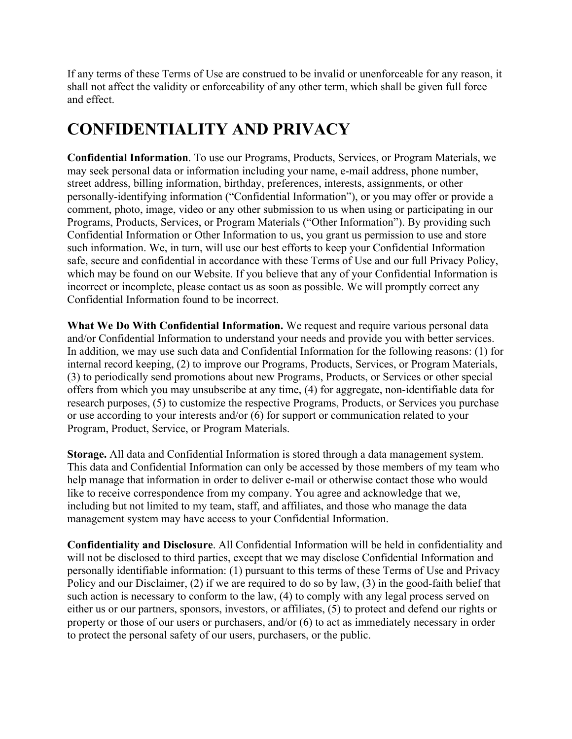If any terms of these Terms of Use are construed to be invalid or unenforceable for any reason, it shall not affect the validity or enforceability of any other term, which shall be given full force and effect.

## **CONFIDENTIALITY AND PRIVACY**

**Confidential Information**. To use our Programs, Products, Services, or Program Materials, we may seek personal data or information including your name, e-mail address, phone number, street address, billing information, birthday, preferences, interests, assignments, or other personally-identifying information ("Confidential Information"), or you may offer or provide a comment, photo, image, video or any other submission to us when using or participating in our Programs, Products, Services, or Program Materials ("Other Information"). By providing such Confidential Information or Other Information to us, you grant us permission to use and store such information. We, in turn, will use our best efforts to keep your Confidential Information safe, secure and confidential in accordance with these Terms of Use and our full Privacy Policy, which may be found on our Website. If you believe that any of your Confidential Information is incorrect or incomplete, please contact us as soon as possible. We will promptly correct any Confidential Information found to be incorrect.

**What We Do With Confidential Information.** We request and require various personal data and/or Confidential Information to understand your needs and provide you with better services. In addition, we may use such data and Confidential Information for the following reasons: (1) for internal record keeping, (2) to improve our Programs, Products, Services, or Program Materials, (3) to periodically send promotions about new Programs, Products, or Services or other special offers from which you may unsubscribe at any time, (4) for aggregate, non-identifiable data for research purposes, (5) to customize the respective Programs, Products, or Services you purchase or use according to your interests and/or (6) for support or communication related to your Program, Product, Service, or Program Materials.

**Storage.** All data and Confidential Information is stored through a data management system. This data and Confidential Information can only be accessed by those members of my team who help manage that information in order to deliver e-mail or otherwise contact those who would like to receive correspondence from my company. You agree and acknowledge that we, including but not limited to my team, staff, and affiliates, and those who manage the data management system may have access to your Confidential Information.

**Confidentiality and Disclosure**. All Confidential Information will be held in confidentiality and will not be disclosed to third parties, except that we may disclose Confidential Information and personally identifiable information: (1) pursuant to this terms of these Terms of Use and Privacy Policy and our Disclaimer, (2) if we are required to do so by law, (3) in the good-faith belief that such action is necessary to conform to the law, (4) to comply with any legal process served on either us or our partners, sponsors, investors, or affiliates, (5) to protect and defend our rights or property or those of our users or purchasers, and/or (6) to act as immediately necessary in order to protect the personal safety of our users, purchasers, or the public.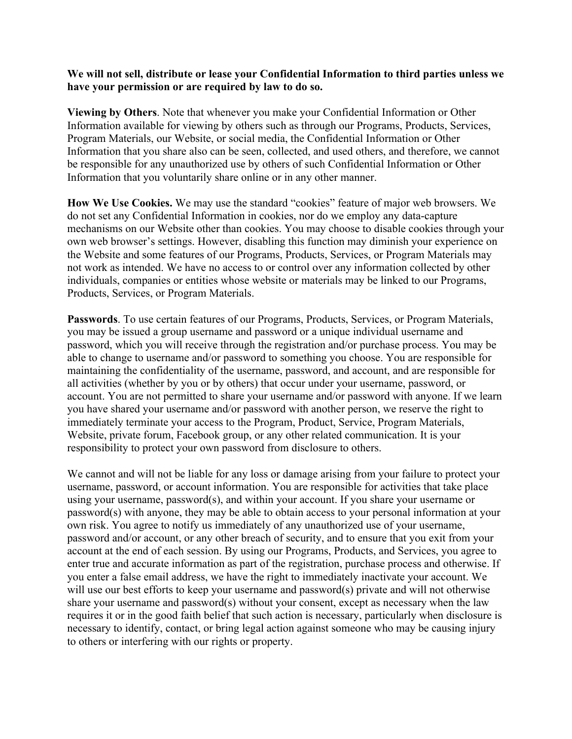#### **We will not sell, distribute or lease your Confidential Information to third parties unless we have your permission or are required by law to do so.**

**Viewing by Others**. Note that whenever you make your Confidential Information or Other Information available for viewing by others such as through our Programs, Products, Services, Program Materials, our Website, or social media, the Confidential Information or Other Information that you share also can be seen, collected, and used others, and therefore, we cannot be responsible for any unauthorized use by others of such Confidential Information or Other Information that you voluntarily share online or in any other manner.

**How We Use Cookies.** We may use the standard "cookies" feature of major web browsers. We do not set any Confidential Information in cookies, nor do we employ any data-capture mechanisms on our Website other than cookies. You may choose to disable cookies through your own web browser's settings. However, disabling this function may diminish your experience on the Website and some features of our Programs, Products, Services, or Program Materials may not work as intended. We have no access to or control over any information collected by other individuals, companies or entities whose website or materials may be linked to our Programs, Products, Services, or Program Materials.

**Passwords**. To use certain features of our Programs, Products, Services, or Program Materials, you may be issued a group username and password or a unique individual username and password, which you will receive through the registration and/or purchase process. You may be able to change to username and/or password to something you choose. You are responsible for maintaining the confidentiality of the username, password, and account, and are responsible for all activities (whether by you or by others) that occur under your username, password, or account. You are not permitted to share your username and/or password with anyone. If we learn you have shared your username and/or password with another person, we reserve the right to immediately terminate your access to the Program, Product, Service, Program Materials, Website, private forum, Facebook group, or any other related communication. It is your responsibility to protect your own password from disclosure to others.

We cannot and will not be liable for any loss or damage arising from your failure to protect your username, password, or account information. You are responsible for activities that take place using your username, password(s), and within your account. If you share your username or password(s) with anyone, they may be able to obtain access to your personal information at your own risk. You agree to notify us immediately of any unauthorized use of your username, password and/or account, or any other breach of security, and to ensure that you exit from your account at the end of each session. By using our Programs, Products, and Services, you agree to enter true and accurate information as part of the registration, purchase process and otherwise. If you enter a false email address, we have the right to immediately inactivate your account. We will use our best efforts to keep your username and password(s) private and will not otherwise share your username and password(s) without your consent, except as necessary when the law requires it or in the good faith belief that such action is necessary, particularly when disclosure is necessary to identify, contact, or bring legal action against someone who may be causing injury to others or interfering with our rights or property.